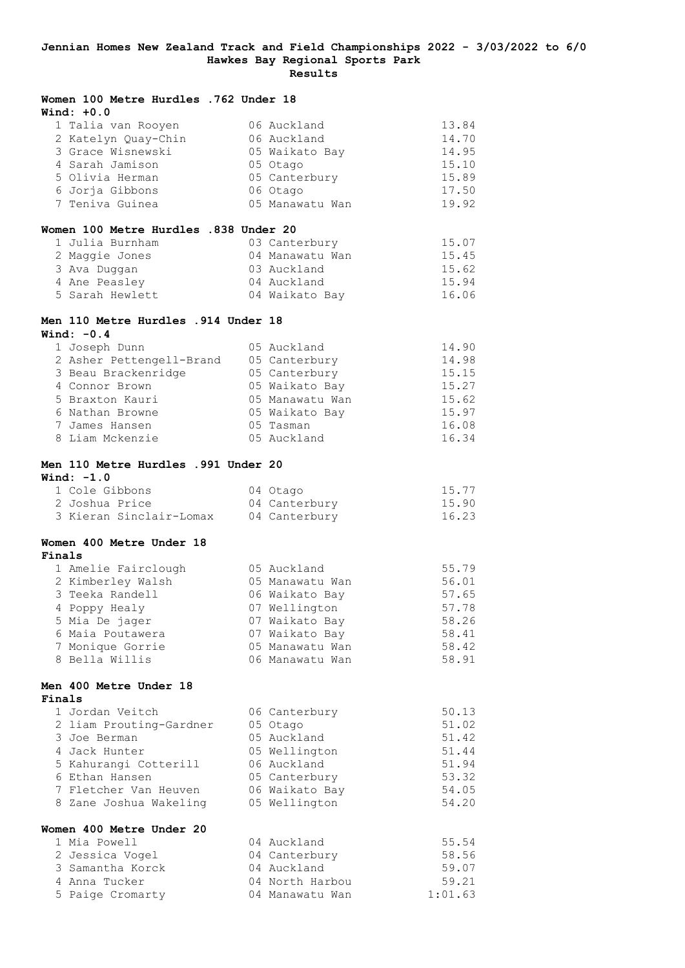|        |              |                     | Women 100 Metre Hurdles .762 Under 18 |                 |         |
|--------|--------------|---------------------|---------------------------------------|-----------------|---------|
|        | Wind: $+0.0$ |                     |                                       |                 |         |
|        |              | 1 Talia van Rooyen  |                                       | 06 Auckland     | 13.84   |
|        |              | 2 Katelyn Quay-Chin |                                       | 06 Auckland     | 14.70   |
|        |              | 3 Grace Wisnewski   |                                       | 05 Waikato Bay  | 14.95   |
|        |              | 4 Sarah Jamison     |                                       | 05 Otago        | 15.10   |
|        |              | 5 Olivia Herman     |                                       | 05 Canterbury   | 15.89   |
|        |              | 6 Jorja Gibbons     |                                       | 06 Otago        | 17.50   |
|        |              | 7 Teniva Guinea     |                                       | 05 Manawatu Wan | 19.92   |
|        |              |                     | Women 100 Metre Hurdles .838 Under 20 |                 |         |
|        |              | 1 Julia Burnham     |                                       | 03 Canterbury   | 15.07   |
|        |              | 2 Maggie Jones      |                                       | 04 Manawatu Wan | 15.45   |
|        | 3 Ava Duggan |                     |                                       | 03 Auckland     | 15.62   |
|        |              | 4 Ane Peasley       |                                       | 04 Auckland     | 15.94   |
|        |              | 5 Sarah Hewlett     |                                       | 04 Waikato Bay  | 16.06   |
|        |              |                     | Men 110 Metre Hurdles .914 Under 18   |                 |         |
|        | Wind: $-0.4$ |                     |                                       |                 |         |
|        |              | 1 Joseph Dunn       |                                       | 05 Auckland     | 14.90   |
|        |              |                     | 2 Asher Pettengell-Brand              | 05 Canterbury   | 14.98   |
|        |              | 3 Beau Brackenridge |                                       | 05 Canterbury   | 15.15   |
|        |              | 4 Connor Brown      |                                       | 05 Waikato Bay  | 15.27   |
|        |              | 5 Braxton Kauri     |                                       | 05 Manawatu Wan | 15.62   |
|        |              | 6 Nathan Browne     |                                       | 05 Waikato Bay  | 15.97   |
|        |              | 7 James Hansen      |                                       | 05 Tasman       | 16.08   |
|        |              | 8 Liam Mckenzie     |                                       | 05 Auckland     | 16.34   |
|        |              |                     | Men 110 Metre Hurdles .991 Under 20   |                 |         |
|        | Wind: $-1.0$ |                     |                                       |                 |         |
|        |              | 1 Cole Gibbons      |                                       | 04 Otago        | 15.77   |
|        |              | 2 Joshua Price      |                                       | 04 Canterbury   | 15.90   |
|        |              |                     | 3 Kieran Sinclair-Lomax               | 04 Canterbury   | 16.23   |
|        |              |                     | Women 400 Metre Under 18              |                 |         |
| Finals |              |                     |                                       |                 |         |
|        |              | 1 Amelie Fairclough |                                       | 05 Auckland     | 55.79   |
|        |              | 2 Kimberley Walsh   |                                       | 05 Manawatu Wan | 56.01   |
|        |              | 3 Teeka Randell     |                                       | 06 Waikato Bay  | 57.65   |
|        |              | 4 Poppy Healy       |                                       | 07 Wellington   | 57.78   |
|        |              | 5 Mia De jager      |                                       | 07 Waikato Bay  | 58.26   |
|        |              | 6 Maia Poutawera    |                                       | 07 Waikato Bay  | 58.41   |
|        |              | 7 Monique Gorrie    |                                       | 05 Manawatu Wan | 58.42   |
|        |              | 8 Bella Willis      |                                       | 06 Manawatu Wan | 58.91   |
|        |              |                     | Men 400 Metre Under 18                |                 |         |
| Finals |              |                     |                                       |                 |         |
|        |              | 1 Jordan Veitch     |                                       | 06 Canterbury   | 50.13   |
|        |              |                     | 2 liam Prouting-Gardner               | 05 Otago        | 51.02   |
|        | 3 Joe Berman |                     |                                       | 05 Auckland     | 51.42   |
|        |              | 4 Jack Hunter       |                                       | 05 Wellington   | 51.44   |
|        |              |                     | 5 Kahurangi Cotterill                 | 06 Auckland     | 51.94   |
|        |              | 6 Ethan Hansen      |                                       | 05 Canterbury   | 53.32   |
|        |              |                     | 7 Fletcher Van Heuven                 | 06 Waikato Bay  | 54.05   |
|        |              |                     | 8 Zane Joshua Wakeling                | 05 Wellington   | 54.20   |
|        |              |                     | Women 400 Metre Under 20              |                 |         |
|        | 1 Mia Powell |                     |                                       | 04 Auckland     | 55.54   |
|        |              | 2 Jessica Vogel     |                                       | 04 Canterbury   | 58.56   |
|        |              | 3 Samantha Korck    |                                       | 04 Auckland     | 59.07   |
|        |              | 4 Anna Tucker       |                                       | 04 North Harbou | 59.21   |
|        |              | 5 Paige Cromarty    |                                       | 04 Manawatu Wan | 1:01.63 |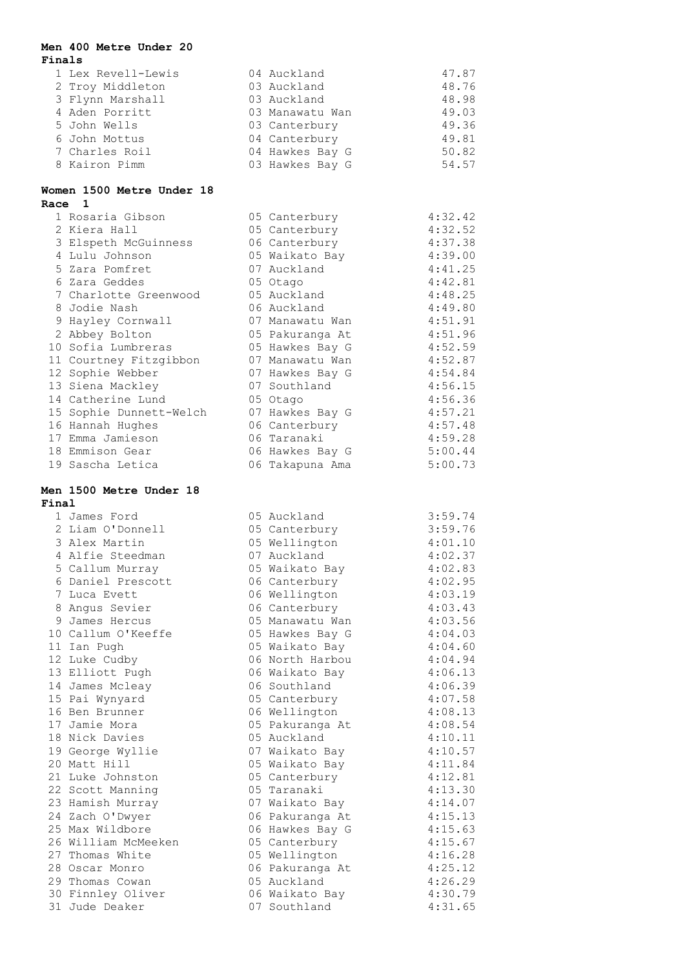### **Men 400 Metre Under 20 Finals**

| 1 Lex Revell-Lewis | 04 Auckland     | 47.87 |
|--------------------|-----------------|-------|
| 2 Troy Middleton   | 03 Auckland     | 48.76 |
| 3 Flynn Marshall   | 03 Auckland     | 48.98 |
| 4 Aden Porritt     | 03 Manawatu Wan | 49.03 |
| 5 John Wells       | 03 Canterbury   | 49.36 |
| 6 John Mottus      | 04 Canterbury   | 49.81 |
| 7 Charles Roil     | 04 Hawkes Bay G | 50.82 |
| 8 Kairon Pimm      | 03 Hawkes Bay G | 54.57 |
|                    |                 |       |

#### **Women 1500 Metre Under 18 Race 1**

|    | 1 Rosaria Gibson        | 05 Canterbury   | 4:32.42 |
|----|-------------------------|-----------------|---------|
|    | 2 Kiera Hall            | 05 Canterbury   | 4:32.52 |
|    | 3 Elspeth McGuinness    | 06 Canterbury   | 4:37.38 |
| 4  | Lulu Johnson            | 05 Waikato Bay  | 4:39.00 |
|    | 5 Zara Pomfret          | 07 Auckland     | 4:41.25 |
| 6. | Zara Geddes             | 05 Otago        | 4:42.81 |
|    | 7 Charlotte Greenwood   | 05 Auckland     | 4:48.25 |
|    | 8 Jodie Nash            | 06 Auckland     | 4:49.80 |
|    | 9 Hayley Cornwall       | 07 Manawatu Wan | 4:51.91 |
|    | 2 Abbey Bolton          | 05 Pakuranga At | 4:51.96 |
|    | 10 Sofia Lumbreras      | 05 Hawkes Bay G | 4:52.59 |
|    | 11 Courtney Fitzgibbon  | 07 Manawatu Wan | 4:52.87 |
|    | 12 Sophie Webber        | 07 Hawkes Bay G | 4:54.84 |
|    | 13 Siena Mackley        | 07 Southland    | 4:56.15 |
|    | 14 Catherine Lund       | 05 Otago        | 4:56.36 |
|    | 15 Sophie Dunnett-Welch | 07 Hawkes Bay G | 4:57.21 |
|    | 16 Hannah Hughes        | 06 Canterbury   | 4:57.48 |
|    | 17 Emma Jamieson        | 06 Taranaki     | 4:59.28 |
|    | 18 Emmison Gear         | 06 Hawkes Bay G | 5:00.44 |
|    | 19 Sascha Letica        | 06 Takapuna Ama | 5:00.73 |

#### **Men 1500 Metre Under 18 Final**

|  | 1 James Ford        | 05 Auckland     | 3:59.74 |
|--|---------------------|-----------------|---------|
|  | 2 Liam O'Donnell    | 05 Canterbury   | 3:59.76 |
|  | 3 Alex Martin       | 05 Wellington   | 4:01.10 |
|  | 4 Alfie Steedman    | 07 Auckland     | 4:02.37 |
|  | 5 Callum Murray     | 05 Waikato Bay  | 4:02.83 |
|  | 6 Daniel Prescott   | 06 Canterbury   | 4:02.95 |
|  | 7 Luca Evett        | 06 Wellington   | 4:03.19 |
|  | 8 Angus Sevier      | 06 Canterbury   | 4:03.43 |
|  | 9 James Hercus      | 05 Manawatu Wan | 4:03.56 |
|  | 10 Callum O'Keeffe  | 05 Hawkes Bay G | 4:04.03 |
|  | 11 Ian Pugh         | 05 Waikato Bay  | 4:04.60 |
|  | 12 Luke Cudby       | 06 North Harbou | 4:04.94 |
|  | 13 Elliott Pugh     | 06 Waikato Bay  | 4:06.13 |
|  | 14 James Mcleay     | 06 Southland    | 4:06.39 |
|  | 15 Pai Wynyard      | 05 Canterbury   | 4:07.58 |
|  | 16 Ben Brunner      | 06 Wellington   | 4:08.13 |
|  | 17 Jamie Mora       | 05 Pakuranga At | 4:08.54 |
|  | 18 Nick Davies      | 05 Auckland     | 4:10.11 |
|  | 19 George Wyllie    | 07 Waikato Bay  | 4:10.57 |
|  | 20 Matt Hill        | 05 Waikato Bay  | 4:11.84 |
|  | 21 Luke Johnston    | 05 Canterbury   | 4:12.81 |
|  | 22 Scott Manning    | 05 Taranaki     | 4:13.30 |
|  | 23 Hamish Murray    | 07 Waikato Bay  | 4:14.07 |
|  | 24 Zach O'Dwyer     | 06 Pakuranga At | 4:15.13 |
|  | 25 Max Wildbore     | 06 Hawkes Bay G | 4:15.63 |
|  | 26 William McMeeken | 05 Canterbury   | 4:15.67 |
|  | 27 Thomas White     | 05 Wellington   | 4:16.28 |
|  | 28 Oscar Monro      | 06 Pakuranga At | 4:25.12 |
|  | 29 Thomas Cowan     | 05 Auckland     | 4:26.29 |
|  | 30 Finnley Oliver   | 06 Waikato Bay  | 4:30.79 |
|  | 31 Jude Deaker      | 07 Southland    | 4:31.65 |
|  |                     |                 |         |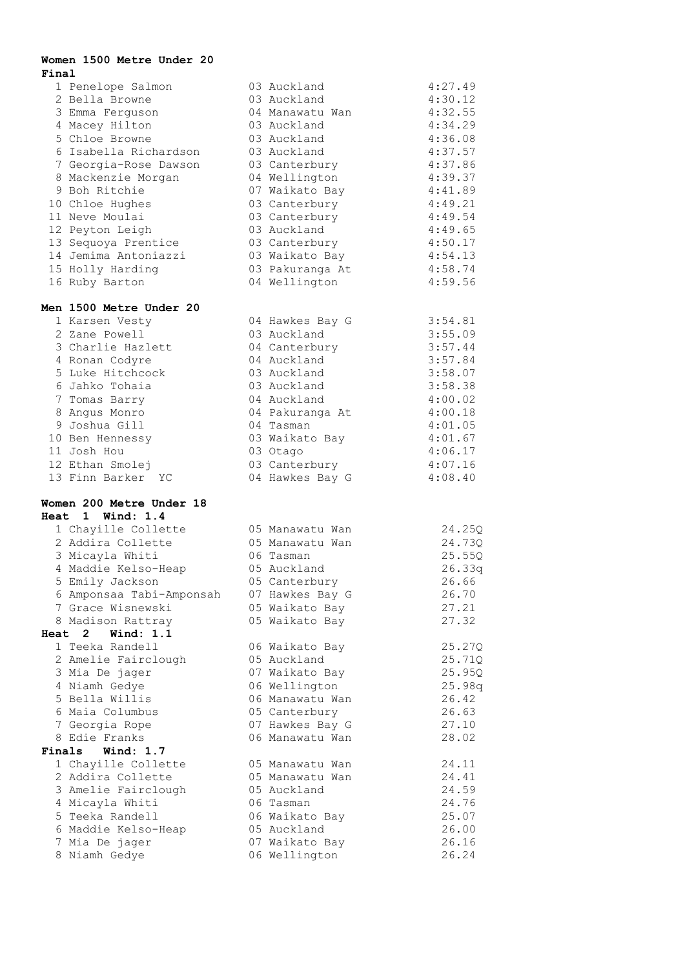#### **Women 1500 Metre Under 20 Final**

| rınaı       |                           |                 |         |
|-------------|---------------------------|-----------------|---------|
|             | 1 Penelope Salmon         | 03 Auckland     | 4:27.49 |
|             | 2 Bella Browne            | 03 Auckland     | 4:30.12 |
|             | 3 Emma Ferguson           | 04 Manawatu Wan | 4:32.55 |
|             | 4 Macey Hilton            | 03 Auckland     | 4:34.29 |
|             | 5 Chloe Browne            | 03 Auckland     | 4:36.08 |
|             | 6 Isabella Richardson     | 03 Auckland     | 4:37.57 |
|             | 7 Georgia-Rose Dawson     | 03 Canterbury   | 4:37.86 |
|             | 8 Mackenzie Morgan        | 04 Wellington   | 4:39.37 |
|             | 9 Boh Ritchie             | 07 Waikato Bay  | 4:41.89 |
|             | 10 Chloe Hughes           | 03 Canterbury   | 4:49.21 |
|             |                           |                 | 4:49.54 |
|             | 11 Neve Moulai            | 03 Canterbury   |         |
|             | 12 Peyton Leigh           | 03 Auckland     | 4:49.65 |
|             | 13 Sequoya Prentice       | 03 Canterbury   | 4:50.17 |
|             | 14 Jemima Antoniazzi      | 03 Waikato Bay  | 4:54.13 |
|             | 15 Holly Harding          | 03 Pakuranga At | 4:58.74 |
|             | 16 Ruby Barton            | 04 Wellington   | 4:59.56 |
|             | Men 1500 Metre Under 20   |                 |         |
|             | 1 Karsen Vesty            | 04 Hawkes Bay G | 3:54.81 |
|             | 2 Zane Powell             | 03 Auckland     | 3:55.09 |
|             | 3 Charlie Hazlett         | 04 Canterbury   | 3:57.44 |
|             | 4 Ronan Codyre            | 04 Auckland     | 3:57.84 |
|             | 5 Luke Hitchcock          | 03 Auckland     | 3:58.07 |
|             | 6 Jahko Tohaia            | 03 Auckland     | 3:58.38 |
|             | 7 Tomas Barry             | 04 Auckland     | 4:00.02 |
|             | 8 Angus Monro             | 04 Pakuranga At | 4:00.18 |
|             | 9 Joshua Gill             | 04 Tasman       | 4:01.05 |
|             | 10 Ben Hennessy           | 03 Waikato Bay  | 4:01.67 |
|             | 11 Josh Hou               | 03 Otago        | 4:06.17 |
|             | 12 Ethan Smolej           | 03 Canterbury   | 4:07.16 |
|             | 13 Finn Barker YC         | 04 Hawkes Bay G | 4:08.40 |
|             | Women 200 Metre Under 18  |                 |         |
| <b>Heat</b> | 1 Wind: 1.4               |                 |         |
|             | 1 Chayille Collette       | 05 Manawatu Wan | 24.25Q  |
|             | 2 Addira Collette         | 05 Manawatu Wan | 24.73Q  |
|             | 3 Micayla Whiti           | 06 Tasman       | 25.55Q  |
|             | 4 Maddie Kelso-Heap       | 05 Auckland     | 26.33q  |
|             | 5 Emily Jackson           | 05 Canterbury   | 26.66   |
|             | 6 Amponsaa Tabi-Amponsah  | 07 Hawkes Bay G | 26.70   |
|             | 7 Grace Wisnewski         | 05 Waikato Bay  | 27.21   |
|             | 8 Madison Rattray         | 05 Waikato Bay  | 27.32   |
| <b>Heat</b> | $\mathbf{2}$<br>Wind: 1.1 |                 |         |
|             | 1 Teeka Randell           | 06 Waikato Bay  | 25.27Q  |
|             | 2 Amelie Fairclough       | 05 Auckland     | 25.71Q  |
|             | 3 Mia De jager            | 07 Waikato Bay  | 25.95Q  |
|             | 4 Niamh Gedye             | 06 Wellington   | 25.98q  |
|             | 5 Bella Willis            | 06 Manawatu Wan | 26.42   |
|             | 6 Maia Columbus           | 05 Canterbury   | 26.63   |
|             | 7 Georgia Rope            | 07 Hawkes Bay G | 27.10   |
|             | 8 Edie Franks             | 06 Manawatu Wan | 28.02   |
| Finals      | Wind: 1.7                 |                 |         |
|             | 1 Chayille Collette       | 05 Manawatu Wan | 24.11   |
|             | 2 Addira Collette         | 05 Manawatu Wan | 24.41   |
|             | 3 Amelie Fairclough       | 05 Auckland     | 24.59   |
|             |                           |                 |         |
|             | 4 Micayla Whiti           | 06 Tasman       | 24.76   |
|             | 5 Teeka Randell           | 06 Waikato Bay  | 25.07   |
|             | 6 Maddie Kelso-Heap       | 05 Auckland     | 26.00   |
|             | 7 Mia De jager            | 07 Waikato Bay  | 26.16   |
|             | 8 Niamh Gedye             | 06 Wellington   | 26.24   |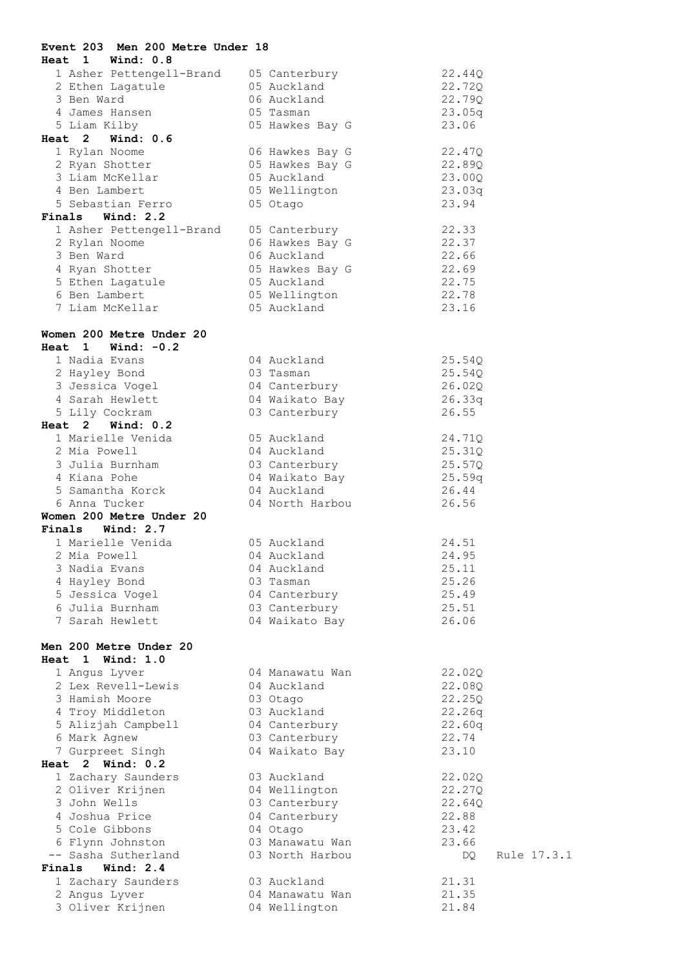| Event 203 Men 200 Metre Under 18<br>Heat 1<br><b>Wind: 0.8</b> |                 |        |             |
|----------------------------------------------------------------|-----------------|--------|-------------|
| 1 Asher Pettengell-Brand 05 Canterbury                         |                 | 22.44Q |             |
| 2 Ethen Lagatule                                               | 05 Auckland     | 22.72Q |             |
| 3 Ben Ward                                                     | 06 Auckland     | 22.79Q |             |
| 4 James Hansen                                                 | 05 Tasman       | 23.05q |             |
| 5 Liam Kilby                                                   | 05 Hawkes Bay G | 23.06  |             |
| Heat $2$ Wind: $0.6$                                           |                 |        |             |
| 1 Rylan Noome                                                  | 06 Hawkes Bay G | 22.47Q |             |
| 2 Ryan Shotter                                                 | 05 Hawkes Bay G | 22.89Q |             |
| 3 Liam McKellar                                                | 05 Auckland     | 23.00Q |             |
| 4 Ben Lambert                                                  | 05 Wellington   | 23.03q |             |
| 5 Sebastian Ferro                                              | 05 Otago        | 23.94  |             |
| Finals Wind: 2.2                                               |                 |        |             |
| 1 Asher Pettengell-Brand                                       | 05 Canterbury   | 22.33  |             |
| 2 Rylan Noome                                                  | 06 Hawkes Bay G | 22.37  |             |
| 3 Ben Ward                                                     | 06 Auckland     | 22.66  |             |
| 4 Ryan Shotter                                                 | 05 Hawkes Bay G | 22.69  |             |
| 5 Ethen Lagatule                                               | 05 Auckland     | 22.75  |             |
| 6 Ben Lambert                                                  | 05 Wellington   | 22.78  |             |
| 7 Liam McKellar                                                | 05 Auckland     | 23.16  |             |
| Women 200 Metre Under 20                                       |                 |        |             |
| Heat $1$ Wind: $-0.2$                                          |                 |        |             |
| 1 Nadia Evans                                                  | 04 Auckland     | 25.54Q |             |
| 2 Hayley Bond                                                  | 03 Tasman       | 25.54Q |             |
| 3 Jessica Vogel                                                | 04 Canterbury   | 26.02Q |             |
| 4 Sarah Hewlett                                                | 04 Waikato Bay  | 26.33q |             |
| 5 Lily Cockram                                                 | 03 Canterbury   | 26.55  |             |
| $Heat \quad 2 \quad Wind: 0.2$                                 |                 |        |             |
| 1 Marielle Venida                                              | 05 Auckland     | 24.71Q |             |
| 2 Mia Powell                                                   | 04 Auckland     | 25.31Q |             |
| 3 Julia Burnham                                                | 03 Canterbury   | 25.57Q |             |
| 4 Kiana Pohe                                                   | 04 Waikato Bay  | 25.59q |             |
| 5 Samantha Korck                                               | 04 Auckland     | 26.44  |             |
| 6 Anna Tucker                                                  | 04 North Harbou | 26.56  |             |
| Women 200 Metre Under 20                                       |                 |        |             |
| Finals Wind: 2.7                                               |                 |        |             |
| 1 Marielle Venida                                              | 05 Auckland     | 24.51  |             |
| 2 Mia Powell                                                   | 04 Auckland     | 24.95  |             |
| 3 Nadia Evans                                                  | 04 Auckland     | 25.11  |             |
| 4 Hayley Bond                                                  | 03 Tasman       | 25.26  |             |
| 5 Jessica Vogel                                                | 04 Canterbury   | 25.49  |             |
| 6 Julia Burnham                                                | 03 Canterbury   | 25.51  |             |
| 7 Sarah Hewlett                                                | 04 Waikato Bay  | 26.06  |             |
|                                                                |                 |        |             |
| Men 200 Metre Under 20<br>Heat 1 Wind: 1.0                     |                 |        |             |
| 1 Angus Lyver                                                  | 04 Manawatu Wan | 22.02Q |             |
| 2 Lex Revell-Lewis                                             | 04 Auckland     | 22.08Q |             |
| 3 Hamish Moore                                                 | 03 Otago        | 22.25Q |             |
| 4 Troy Middleton                                               | 03 Auckland     | 22.26q |             |
| 5 Alizjah Campbell                                             | 04 Canterbury   | 22.60q |             |
| 6 Mark Agnew                                                   | 03 Canterbury   | 22.74  |             |
| 7 Gurpreet Singh                                               | 04 Waikato Bay  | 23.10  |             |
| Heat $2$ Wind: $0.2$                                           |                 |        |             |
| 1 Zachary Saunders                                             | 03 Auckland     | 22.02Q |             |
| 2 Oliver Krijnen                                               | 04 Wellington   | 22.27Q |             |
| 3 John Wells                                                   | 03 Canterbury   | 22.64Q |             |
| 4 Joshua Price                                                 | 04 Canterbury   | 22.88  |             |
| 5 Cole Gibbons                                                 | 04 Otago        | 23.42  |             |
| 6 Flynn Johnston                                               | 03 Manawatu Wan | 23.66  |             |
| -- Sasha Sutherland                                            | 03 North Harbou | DQ     | Rule 17.3.1 |
| <b>Wind: 2.4</b><br>Finals                                     |                 |        |             |
| 1 Zachary Saunders                                             | 03 Auckland     | 21.31  |             |
| 2 Angus Lyver                                                  | 04 Manawatu Wan | 21.35  |             |
| 3 Oliver Krijnen                                               | 04 Wellington   | 21.84  |             |
|                                                                |                 |        |             |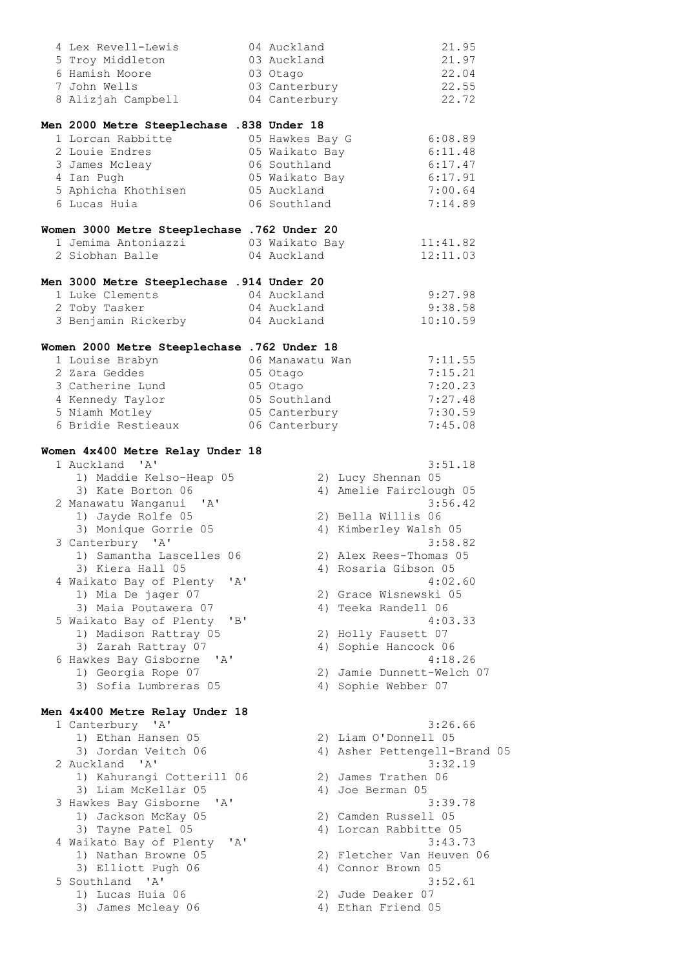| 4 Lex Revell-Lewis                                                                | 04 Auckland                    | 21.95                                   |
|-----------------------------------------------------------------------------------|--------------------------------|-----------------------------------------|
| 5 Troy Middleton                                                                  | 03 Auckland                    | 21.97                                   |
| 6 Hamish Moore<br>7 John Wells                                                    | 03 Otago<br>03 Canterbury      | 22.04<br>22.55                          |
| 8 Alizjah Campbell                                                                | 04 Canterbury                  | 22.72                                   |
|                                                                                   |                                |                                         |
| Men 2000 Metre Steeplechase .838 Under 18                                         |                                |                                         |
| 1 Lorcan Rabbitte                                                                 | 05 Hawkes Bay G                | 6:08.89                                 |
| 2 Louie Endres                                                                    | 05 Waikato Bay                 | 6:11.48                                 |
| 3 James Mcleay<br>4 Ian Pugh                                                      | 06 Southland<br>05 Waikato Bay | 6:17.47<br>6:17.91                      |
| 5 Aphicha Khothisen                                                               | 05 Auckland                    | 7:00.64                                 |
| 6 Lucas Huia                                                                      | 06 Southland                   | 7:14.89                                 |
|                                                                                   |                                |                                         |
| Women 3000 Metre Steeplechase .762 Under 20<br>1 Jemima Antoniazzi 63 Waikato Bay |                                | 11:41.82                                |
| 2 Siobhan Balle                                                                   | 04 Auckland                    | 12:11.03                                |
| Men 3000 Metre Steeplechase .914 Under 20                                         |                                |                                         |
| 1 Luke Clements                                                                   | 04 Auckland                    | 9:27.98                                 |
| 2 Toby Tasker                                                                     | 04 Auckland                    | 9:38.58                                 |
| 3 Benjamin Rickerby                                                               | 04 Auckland                    | 10:10.59                                |
| Women 2000 Metre Steeplechase .762 Under 18                                       |                                |                                         |
| 1 Louise Brabyn                                                                   | 06 Manawatu Wan                | 7:11.55                                 |
| 2 Zara Geddes                                                                     | 05 Otago                       | 7:15.21                                 |
| 3 Catherine Lund                                                                  | 05 Otago                       | 7:20.23                                 |
| 4 Kennedy Taylor                                                                  | 05 Southland                   | 7:27.48                                 |
| 5 Niamh Motley                                                                    | 05 Canterbury                  | 7:30.59                                 |
| 6 Bridie Restieaux                                                                | 06 Canterbury                  | 7:45.08                                 |
| Women 4x400 Metre Relay Under 18                                                  |                                |                                         |
| 1 Auckland 'A'                                                                    |                                | 3:51.18                                 |
| 1) Maddie Kelso-Heap 05                                                           |                                | 2) Lucy Shennan 05                      |
| 3) Kate Borton 06                                                                 |                                | 4) Amelie Fairclough 05                 |
| 2 Manawatu Wanganui 'A'                                                           |                                | 3:56.42                                 |
| 1) Jayde Rolfe 05                                                                 |                                | 2) Bella Willis 06                      |
| 3) Monique Gorrie 05                                                              |                                | 4) Kimberley Walsh 05                   |
| 3 Canterbury 'A'                                                                  |                                | 3:58.82                                 |
| 1) Samantha Lascelles 06                                                          |                                | 2) Alex Rees-Thomas 05                  |
| 3) Kiera Hall 05                                                                  |                                | 4) Rosaria Gibson 05                    |
| 4 Waikato Bay of Plenty<br>' A'<br>1) Mia De jager 07                             |                                | 4:02.60<br>2) Grace Wisnewski 05        |
| 3) Maia Poutawera 07                                                              |                                | 4) Teeka Randell 06                     |
| 5 Waikato Bay of Plenty<br>"B"                                                    |                                | 4:03.33                                 |
| 1) Madison Rattray 05                                                             |                                | 2) Holly Fausett 07                     |
| 3) Zarah Rattray 07                                                               |                                | 4) Sophie Hancock 06                    |
| 6 Hawkes Bay Gisborne<br>"A"                                                      |                                | 4:18.26                                 |
| 1) Georgia Rope 07                                                                |                                | 2) Jamie Dunnett-Welch 07               |
| 3) Sofia Lumbreras 05                                                             |                                | 4) Sophie Webber 07                     |
| Men 4x400 Metre Relay Under 18                                                    |                                |                                         |
| 1 Canterbury 'A'                                                                  |                                | 3:26.66                                 |
| 1) Ethan Hansen 05                                                                |                                | 2) Liam O'Donnell 05                    |
| 3) Jordan Veitch 06                                                               |                                | 4) Asher Pettengell-Brand 05            |
| 2 Auckland 'A'                                                                    |                                | 3:32.19                                 |
| 1) Kahurangi Cotterill 06                                                         |                                | 2) James Trathen 06                     |
| 3) Liam McKellar 05                                                               |                                | 4) Joe Berman 05                        |
| 3 Hawkes Bay Gisborne<br>' A'                                                     |                                | 3:39.78                                 |
| 1) Jackson McKay 05                                                               |                                | 2) Camden Russell 05                    |
| 3) Tayne Patel 05                                                                 |                                | 4) Lorcan Rabbitte 05                   |
| 4 Waikato Bay of Plenty<br>' A'                                                   |                                | 3:43.73                                 |
| 1) Nathan Browne 05                                                               |                                | 2) Fletcher Van Heuven 06               |
| 3) Elliott Pugh 06                                                                |                                | 4) Connor Brown 05                      |
| 5 Southland 'A'                                                                   |                                | 3:52.61                                 |
| 1) Lucas Huia 06<br>3) James Mcleay 06                                            |                                | 2) Jude Deaker 07<br>4) Ethan Friend 05 |
|                                                                                   |                                |                                         |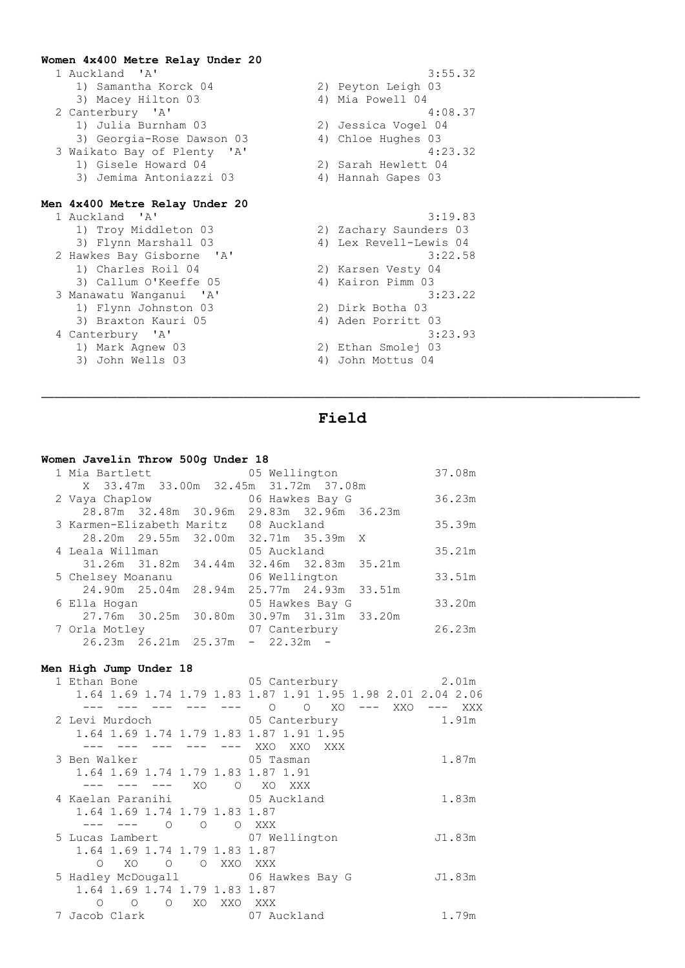| Women 4x400 Metre Relay Under 20 |    |                        |
|----------------------------------|----|------------------------|
| 1 Auckland 'A'                   |    | 3:55.32                |
| 1) Samantha Korck 04             |    | 2) Peyton Leigh 03     |
| 3) Macey Hilton 03               |    | 4) Mia Powell 04       |
| 2 Canterbury 'A'                 |    | 4:08.37                |
| 1) Julia Burnham 03              |    | 2) Jessica Vogel 04    |
| 3) Georgia-Rose Dawson 03        |    | 4) Chloe Hughes 03     |
| 3 Waikato Bay of Plenty 'A'      |    | 4:23.32                |
| 1) Gisele Howard 04              |    | 2) Sarah Hewlett 04    |
| 3) Jemima Antoniazzi 03          |    | 4) Hannah Gapes 03     |
| Men 4x400 Metre Relay Under 20   |    |                        |
| 1 Auckland 'A'                   |    | 3:19.83                |
| 1) Troy Middleton 03             |    | 2) Zachary Saunders 03 |
| 3) Flynn Marshall 03             |    | 4) Lex Revell-Lewis 04 |
| 2 Hawkes Bay Gisborne 'A'        |    | 3:22.58                |
| 1) Charles Roil 04               |    | 2) Karsen Vesty 04     |
| 3) Callum O'Keeffe 05            |    | 4) Kairon Pimm 03      |
| 3 Manawatu Wanganui 'A'          |    | 3:23.22                |
| 1) Flynn Johnston 03             |    | 2) Dirk Botha 03       |
| 3) Braxton Kauri 05              |    | 4) Aden Porritt 03     |
| 4 Canterbury 'A'                 |    | 3:23.93                |
| 1) Mark Agnew 03                 |    | 2) Ethan Smolej 03     |
| 3) John Wells 03                 | 4) | John Mottus 04         |

# **Field**

\_\_\_\_\_\_\_\_\_\_\_\_\_\_\_\_\_\_\_\_\_\_\_\_\_\_\_\_\_\_\_\_\_\_\_\_\_\_\_\_\_\_\_\_\_\_\_\_\_\_\_\_\_\_\_\_\_\_\_\_\_\_\_\_\_\_\_\_\_\_\_\_\_\_\_\_\_\_\_\_\_\_\_\_\_\_\_\_\_\_\_\_\_\_\_

# **Women Javelin Throw 500g Under 18**

| 1 Mia Bartlett                          | 05 Wellington                             | 37.08m |
|-----------------------------------------|-------------------------------------------|--------|
| X 33.47m 33.00m 32.45m 31.72m 37.08m    |                                           |        |
| 2 Vaya Chaplow                          | 06 Hawkes Bay G                           | 36.23m |
|                                         | 28.87m 32.48m 30.96m 29.83m 32.96m 36.23m |        |
| 3 Karmen-Elizabeth Maritz 08 Auckland   |                                           | 35.39m |
| 28.20m 29.55m 32.00m 32.71m 35.39m X    |                                           |        |
| 4 Leala Willman                         | 05 Auckland                               | 35.21m |
|                                         | 31.26m 31.82m 34.44m 32.46m 32.83m 35.21m |        |
| 5 Chelsey Moananu                       | 06 Wellington                             | 33.51m |
|                                         | 24.90m 25.04m 28.94m 25.77m 24.93m 33.51m |        |
| 6 Ella Hoqan                            | 05 Hawkes Bay G                           | 33.20m |
|                                         | 27.76m 30.25m 30.80m 30.97m 31.31m 33.20m |        |
| 7 Orla Motley                           | 07 Canterbury                             | 26.23m |
| $26.23m$ $26.21m$ $25.37m$ - $22.32m$ - |                                           |        |

### **Men High Jump Under 18**

| Ethan Bone                                      | 05 Canterbury                                               | 2.01m  |
|-------------------------------------------------|-------------------------------------------------------------|--------|
|                                                 | 1.64 1.69 1.74 1.79 1.83 1.87 1.91 1.95 1.98 2.01 2.04 2.06 |        |
|                                                 | XO<br>$\Omega$<br>$\Omega$<br>--- xxo                       | XXX    |
| 2 Levi Murdoch 65 Canterbury                    |                                                             | 1.91m  |
| 1.64 1.69 1.74 1.79 1.83 1.87 1.91 1.95         |                                                             |        |
|                                                 | XXO<br>XXO<br>XXX                                           |        |
| 3 Ben Walker                                    | 05 Tasman                                                   | 1.87m  |
| 1.64 1.69 1.74 1.79 1.83 1.87 1.91              |                                                             |        |
| XO<br>$\circ$                                   | XO XXX                                                      |        |
| 4 Kaelan Paranihi                   05 Auckland |                                                             | 1.83m  |
| 1.64 1.69 1.74 1.79 1.83 1.87                   |                                                             |        |
| $\Omega$<br>$\Omega$                            | O XXX                                                       |        |
| 5 Lucas Lambert                                 | 07 Wellington                                               | J1.83m |
| 1.64 1.69 1.74 1.79 1.83 1.87                   |                                                             |        |
| XO<br>$\circ$<br>$\circ$<br>XXO<br>$\bigcirc$   | XXX                                                         |        |
| 5 Hadley McDougall 66 Hawkes Bay G              |                                                             | J1.83m |
| 1.64 1.69 1.74 1.79 1.83 1.87                   |                                                             |        |
| XO.<br>XXO<br>$\circ$<br>$\Omega$<br>Ω          | XXX                                                         |        |
| Jacob Clark                                     | 07 Auckland                                                 | 1.79m  |
|                                                 |                                                             |        |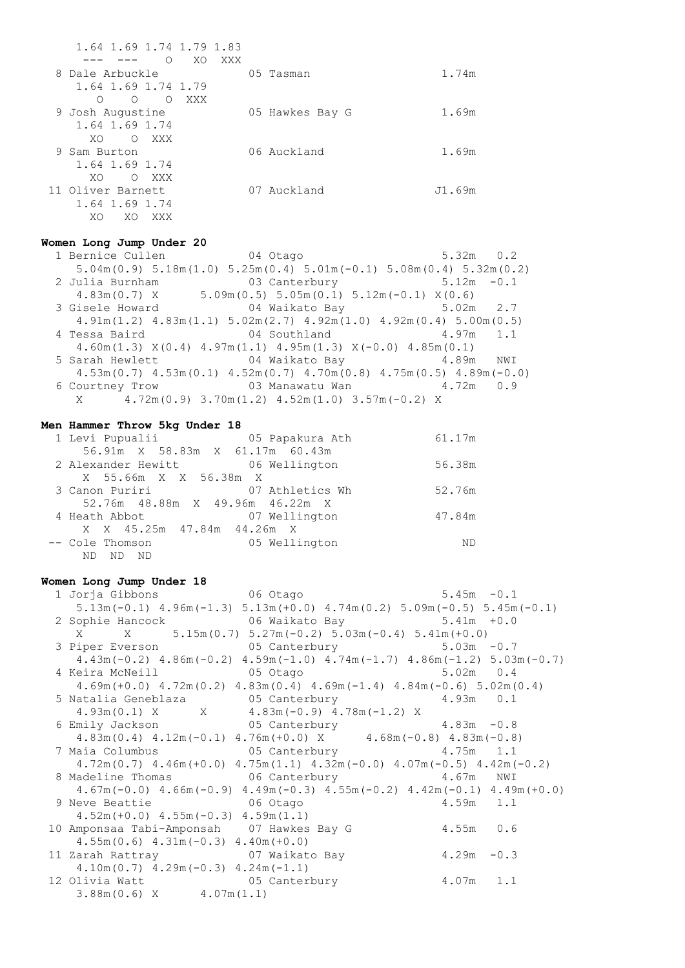| 1.64 1.69 1.74 1.79 1.83 |           |                 |        |
|--------------------------|-----------|-----------------|--------|
| $\circ$                  | XO<br>XXX |                 |        |
| 8 Dale Arbuckle          |           | 05 Tasman       | 1.74m  |
| 1.64 1.69 1.74 1.79      |           |                 |        |
| $\Omega$<br>$\circ$<br>∩ | XXX       |                 |        |
| 9 Josh Augustine         |           | 05 Hawkes Bay G | 1.69m  |
| 1.64 1.69 1.74           |           |                 |        |
| XO<br>O XXX              |           |                 |        |
| 9 Sam Burton             |           | 06 Auckland     | 1.69m  |
| 1.64 1.69 1.74           |           |                 |        |
| XO<br>O XXX              |           |                 |        |
| 11 Oliver Barnett        |           | 07 Auckland     | J1.69m |
| 1.64 1.69 1.74           |           |                 |        |
| XO<br>XO<br>XXX          |           |                 |        |

#### **Women Long Jump Under 20**

 1 Bernice Cullen 04 Otago 5.32m 0.2 5.04m(0.9) 5.18m(1.0) 5.25m(0.4) 5.01m(-0.1) 5.08m(0.4) 5.32m(0.2) 2 Julia Burnham<br> $4.83 \text{m} (0.7) \times 5$ 5.09m(0.5) 5.05m(0.1) 5.12m(-0.1) X(0.6)<br>04 Waikato Bay 5.02m 3 Gisele Howard 04 Waikato Bay 5.02m 2.7 4.91m(1.2) 4.83m(1.1)  $5.02m(2.7)$  4.92m(1.0) 4.92m(0.4) 5.00m(0.5)<br>4 Tessa Baird 04 Southland 4.97m 1.1 4 Tessa Baird 04 Southland 4.97m 1.1 4.60m(1.3) X(0.4) 4.97m(1.1) 4.95m(1.3) X(-0.0) 4.85m(0.1) 5 Sarah Hewlett 04 Waikato Bay 4.89m NWI  $4.53\text{m}(0.7)$   $4.53\text{m}(0.1)$   $4.52\text{m}(0.7)$   $4.70\text{m}(0.8)$   $4.75\text{m}(0.5)$   $4.89\text{m}(-0.0)$ <br>6 Courtney Trow 03 Manawatu Wan  $4.72\text{m}$  0.9 03 Manawatu Wan  $X = \begin{bmatrix} 4.72m(0.9) & 3.70m(1.2) & 4.52m(1.0) & 3.57m(-0.2) \end{bmatrix} X$ 

#### **Men Hammer Throw 5kg Under 18**

| 1 Levi Pupualii                   | 05 Papakura Ath | 61.17m |
|-----------------------------------|-----------------|--------|
| 56.91m X 58.83m X 61.17m 60.43m   |                 |        |
| 2 Alexander Hewitt 606 Wellington |                 | 56.38m |
| X 55.66m X X 56.38m X             |                 |        |
| 3 Canon Puriri                    | 07 Athletics Wh | 52.76m |
| 52.76m 48.88m X 49.96m 46.22m X   |                 |        |
| 4 Heath Abbot                     | 07 Wellington   | 47.84m |
| X X 45.25m 47.84m 44.26m X        |                 |        |
| -- Cole Thomson                   | 05 Wellington   | ND     |
| ND<br>ND<br>ND                    |                 |        |

#### **Women Long Jump Under 18**

| $1$ Jorja Gibbons $06$ Otago $5.45$ m $-0.1$                                                                   |                                                                                                                              |             |  |
|----------------------------------------------------------------------------------------------------------------|------------------------------------------------------------------------------------------------------------------------------|-------------|--|
|                                                                                                                | $5.13\text{m}(-0.1)$ $4.96\text{m}(-1.3)$ $5.13\text{m}(+0.0)$ $4.74\text{m}(0.2)$ $5.09\text{m}(-0.5)$ $5.45\text{m}(-0.1)$ |             |  |
| 2 Sophie Hancock 06 Waikato Bay 5.41m +0.0                                                                     |                                                                                                                              |             |  |
|                                                                                                                | $X$ $X$ 5.15m(0.7) 5.27m(-0.2) 5.03m(-0.4) 5.41m(+0.0)                                                                       |             |  |
| 3 Piper Everson 65 Canterbury 5.03m -0.7                                                                       |                                                                                                                              |             |  |
|                                                                                                                | $4.43m(-0.2)$ $4.86m(-0.2)$ $4.59m(-1.0)$ $4.74m(-1.7)$ $4.86m(-1.2)$ $5.03m(-0.7)$                                          |             |  |
| 4 Keira McNeill (15 05 Otago 15.02m 0.4                                                                        |                                                                                                                              |             |  |
|                                                                                                                | $4.69$ m (+0.0) $4.72$ m (0.2) $4.83$ m (0.4) $4.69$ m (-1.4) $4.84$ m (-0.6) $5.02$ m (0.4)                                 |             |  |
| 5 Natalia Geneblaza (05 Canterbury 1.93m 0.1                                                                   |                                                                                                                              |             |  |
| $4.93m(0.1)$ X $X$ $4.83m(-0.9)$ $4.78m(-1.2)$ X                                                               |                                                                                                                              |             |  |
|                                                                                                                |                                                                                                                              |             |  |
| $4.83\text{m} (0.4)$ $4.12\text{m} (-0.1)$ $4.76\text{m} (+0.0)$ X $4.68\text{m} (-0.8)$ $4.83\text{m} (-0.8)$ |                                                                                                                              |             |  |
| 7 Maia Columbus 65 Canterbury 64.75m 1.1                                                                       |                                                                                                                              |             |  |
| $4.72m(0.7)$ $4.46m(+0.0)$ $4.75m(1.1)$ $4.32m(-0.0)$ $4.07m(-0.5)$ $4.42m(-0.2)$                              |                                                                                                                              |             |  |
| 8 Madeline Thomas 66 Canterbury 54.67m NWI                                                                     |                                                                                                                              |             |  |
| $4.67m(-0.0)$ $4.66m(-0.9)$ $4.49m(-0.3)$ $4.55m(-0.2)$ $4.42m(-0.1)$ $4.49m(+0.0)$                            |                                                                                                                              |             |  |
| 9 Neve Beattie $060tago$ 4.59m 1.1                                                                             |                                                                                                                              |             |  |
| $4.52m (+0.0)$ $4.55m (-0.3)$ $4.59m (1.1)$                                                                    |                                                                                                                              |             |  |
| 10 Amponsaa Tabi-Amponsah 07 Hawkes Bay G                                                                      |                                                                                                                              | $4.55m$ 0.6 |  |
| $4.55m(0.6)$ $4.31m(-0.3)$ $4.40m(+0.0)$                                                                       |                                                                                                                              |             |  |
| 11 Zarah Rattray $11$ Zarah Rattray $11$ Zarah Rattray                                                         |                                                                                                                              |             |  |
| $4.10m(0.7)$ $4.29m(-0.3)$ $4.24m(-1.1)$                                                                       |                                                                                                                              |             |  |
| 12 Olivia Watt $05$ Canterbury $4.07$ m 1.1                                                                    |                                                                                                                              |             |  |
| $3.88m(0.6)$ X $4.07m(1.1)$                                                                                    |                                                                                                                              |             |  |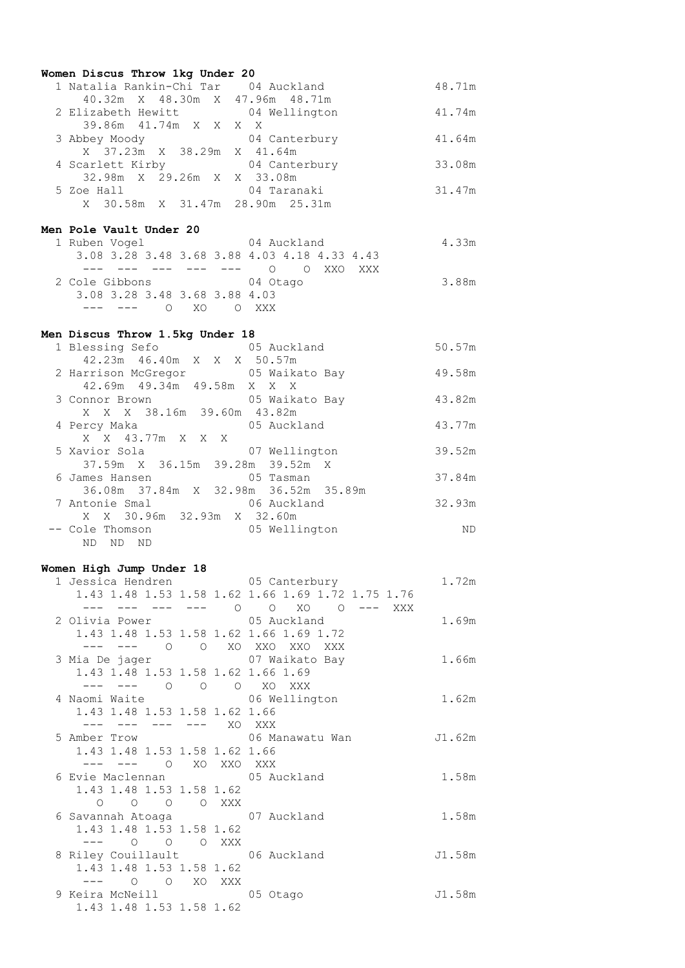| Women Discus Throw 1kg Under 20                                             |        |
|-----------------------------------------------------------------------------|--------|
| 1 Natalia Rankin-Chi Tar 04 Auckland                                        | 48.71m |
| 40.32m X 48.30m X 47.96m 48.71m                                             |        |
| 2 Elizabeth Hewitt 04 Wellington                                            | 41.74m |
| 39.86m 41.74m X X X X                                                       |        |
| 3 Abbey Moody 04 Canterbury X 37.23m X 38.29m X 41.64m                      | 41.64m |
|                                                                             |        |
| 4 Scarlett Kirby 104 Canterbury                                             | 33.08m |
| 32.98m X 29.26m X X 33.08m                                                  |        |
| 04 Taranaki<br>5 Zoe Hall                                                   | 31.47m |
| X 30.58m X 31.47m 28.90m 25.31m                                             |        |
|                                                                             |        |
| Men Pole Vault Under 20                                                     |        |
| 1 Ruben Vogel 1 04 Auckland<br>3.08 3.28 3.48 3.68 3.88 4.03 4.18 4.33 4.43 | 4.33m  |
| --- --- --- --- --- 0 0 XXO XXX                                             |        |
| 2 Cole Gibbons 04 Otago                                                     | 3.88m  |
| 3.08 3.28 3.48 3.68 3.88 4.03                                               |        |
| --- --- 0 XO 0 XXX                                                          |        |
|                                                                             |        |
|                                                                             |        |
|                                                                             |        |
| Men Discus Throw 1.5kg Under 18                                             | 50.57m |
|                                                                             |        |
| 1 Blessing Sefo 05 Auckland<br>42.23m 46.40m X X X 50.57m                   | 49.58m |
| 2 Harrison McGregor 05 Waikato Bay<br>42.69m 49.34m 49.58m x x x            |        |
|                                                                             | 43.82m |
|                                                                             |        |
| 3 Connor Brown 05 Waikato Bay<br>X X X 38.16m 39.60m 43.82m                 | 43.77m |
| 4 Percy Maka 05 Auckland<br>X X 43.77m X X X                                |        |
|                                                                             | 39.52m |
| 5 Xavior Sola 07 Wellington<br>37.59m X 36.15m 39.28m 39.52m X              |        |
|                                                                             | 37.84m |
| 6 James Hansen 15 05 Tasman<br>36.08m 37.84m x 32.98m 36.52m 35.89m         |        |
|                                                                             | 32.93m |
| 7 Antonie Smal 06 Auckland<br>X X 30.96m 32.93m X 32.60m                    |        |
| -- Cole Thomson<br>05 Wellington<br>ND.<br>ND.<br>ND)                       | ND     |

# **Women High Jump Under 18**

|                                                          | 1 Jessica Hendren                          05 Canterbury | 1.72m  |
|----------------------------------------------------------|----------------------------------------------------------|--------|
|                                                          | 1.43 1.48 1.53 1.58 1.62 1.66 1.69 1.72 1.75 1.76        |        |
|                                                          | --- --- --- ---   0   0   XO   0  ---   XXX              |        |
|                                                          | 2 Olivia Power 05 Auckland                               | 1.69m  |
| 1.43 1.48 1.53 1.58 1.62 1.66 1.69 1.72                  |                                                          |        |
| --- --- 0 0 XO XXO XXO XXX                               |                                                          |        |
| 3 Mia De jager 607 Waikato Bay                           |                                                          | 1.66m  |
| 1.43 1.48 1.53 1.58 1.62 1.66 1.69                       |                                                          |        |
|                                                          |                                                          |        |
| --- --- 0 0 0 XO XXX                                     |                                                          |        |
| 4 Naomi Waite 6 06 Wellington                            |                                                          | 1.62m  |
| 1.43 1.48 1.53 1.58 1.62 1.66                            |                                                          |        |
| --- --- --- --- XO XXX                                   |                                                          |        |
| 5 Amber Trow 66 Manawatu Wan                             |                                                          | J1.62m |
| 1.43 1.48 1.53 1.58 1.62 1.66                            |                                                          |        |
| --- --- 0 x0 xx0 xxx                                     |                                                          |        |
| 6 Evie Maclennan and 05 Auckland                         |                                                          | 1.58m  |
| 1.43 1.48 1.53 1.58 1.62                                 |                                                          |        |
| $\begin{matrix} 0 & 0 & 0 & 0 & \text{XXX} \end{matrix}$ |                                                          |        |
| 6 Savannah Atoaga 67 Auckland                            |                                                          | 1.58m  |
| 1.43 1.48 1.53 1.58 1.62                                 |                                                          |        |
| --- 0 0 0 XXX                                            |                                                          |        |
| 8 Riley Couillault 06 Auckland                           |                                                          | J1.58m |
| 1.43 1.48 1.53 1.58 1.62                                 |                                                          |        |
| O O XO XXX                                               |                                                          |        |
| 9 Keira McNeill 65 Otago                                 |                                                          | J1.58m |
|                                                          |                                                          |        |
| 1.43 1.48 1.53 1.58 1.62                                 |                                                          |        |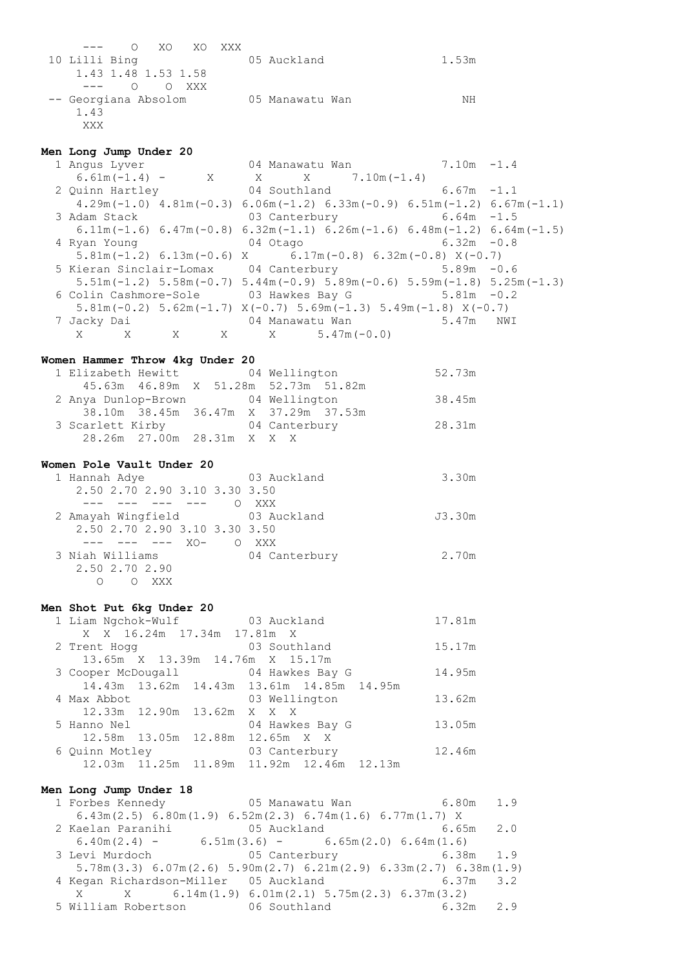--- O XO XO XXX 10 Lilli Bing 05 Auckland 1.53m 1.43 1.48 1.53 1.58 --- O O XXX -- Georgiana Absolom 05 Manawatu Wan NH 1.43 XXX

#### **Men Long Jump Under 20**

 1 Angus Lyver 04 Manawatu Wan 7.10m -1.4 6.61m(-1.4) - X X X 7.10m(-1.4) 2 Quinn Hartley 04 Southland 6.67m -1.1  $4.29m(-1.0)$   $4.81m(-0.3)$   $6.06m(-1.2)$   $6.33m(-0.9)$   $6.51m(-1.2)$   $6.67m(-1.1)$ <br>Adam Stack 03 Canterbury  $6.64m -1.5$ 3 Adam Stack 03 Canterbury 6.11m(-1.6) 6.47m(-0.8) 6.32m(-1.1) 6.26m(-1.6) 6.48m(-1.2) 6.64m(-1.5)<br>Ryan Young 04 Otago 6.32m -0.8 4 Ryan Young 5.81m(-1.2) 6.13m(-0.6) X 6.17m(-0.8) 6.32m(-0.8) X(-0.7) 5 Kieran Sinclair-Lomax 04 Canterbury 5.51m(-1.2) 5.58m(-0.7) 5.44m(-0.9) 5.89m(-0.6) 5.59m(-1.8) 5.25m(-1.3) 6 Colin Cashmore-Sole 03 Hawkes Bay G 5.81m(-0.2) 5.62m(-1.7) X(-0.7) 5.69m(-1.3) 5.49m(-1.8) X(-0.7) 7 Jacky Dai 04 Manawatu Wan 5.47m NWI X X X X X 5.47m (-0.0)

#### **Women Hammer Throw 4kg Under 20**

| 1 Elizabeth Hewitt               04 Wellington | 52.73m |
|------------------------------------------------|--------|
| 45.63m 46.89m X 51.28m 52.73m 51.82m           |        |
| 2 Anya Dunlop-Brown 04 Wellington              | 38.45m |
| 38.10m 38.45m 36.47m X 37.29m 37.53m           |        |
| 3 Scarlett Kirby 04 Canterbury                 | 28.31m |
| 28.26m 27.00m 28.31m X X X                     |        |

#### **Women Pole Vault Under 20**

| 1 Hannah Adve                 | 03 Auckland   | 3.30m  |
|-------------------------------|---------------|--------|
| 2.50 2.70 2.90 3.10 3.30 3.50 |               |        |
|                               | XXX           |        |
| 2 Amayah Wingfield            | 03 Auckland   | J3.30m |
| 2.50 2.70 2.90 3.10 3.30 3.50 |               |        |
| -- --- --- x0-                | XXX           |        |
| 3 Niah Williams               | 04 Canterbury | 2.70m  |
| 2.50 2.70 2.90                |               |        |
| XXX                           |               |        |

#### **Men Shot Put 6kg Under 20**

|              |  |                                                | 17.81m |
|--------------|--|------------------------------------------------|--------|
|              |  | X X 16.24m 17.34m 17.81m X                     |        |
| 2 Trent Hogg |  | 03 Southland                                   | 15.17m |
|              |  | 13.65m X 13.39m 14.76m X 15.17m                |        |
|              |  | 3 Cooper McDougall 64 Hawkes Bay G             | 14.95m |
|              |  | 14.43m 13.62m 14.43m 13.61m 14.85m 14.95m      |        |
| 4 Max Abbot  |  | 03 Wellington                                  | 13.62m |
|              |  | 12.33m 12.90m 13.62m X X X                     |        |
| 5 Hanno Nel  |  | 04 Hawkes Bay G                                | 13.05m |
|              |  | 12.58m 13.05m 12.88m 12.65m X X                |        |
|              |  | 6 Quinn Motley 6 03 Canterbury                 | 12.46m |
|              |  | 12.03m  11.25m  11.89m  11.92m  12.46m  12.13m |        |
|              |  |                                                |        |

#### **Men Long Jump Under 18**

|  |  |  | 1 Forbes Kennedy                             05 Manawatu Wan                           |  | 6.80m 1.9     |  |
|--|--|--|----------------------------------------------------------------------------------------|--|---------------|--|
|  |  |  | $6.43m(2.5)$ $6.80m(1.9)$ $6.52m(2.3)$ $6.74m(1.6)$ $6.77m(1.7)$ X                     |  |               |  |
|  |  |  | 2 Kaelan Paranihi                           05 Auckland                                |  | $6.65m$ $2.0$ |  |
|  |  |  | $6.40m(2.4) - 6.51m(3.6) - 6.65m(2.0) 6.64m(1.6)$                                      |  |               |  |
|  |  |  | 3 Levi Murdoch                       05 Canterbury                 6.38m   1.9         |  |               |  |
|  |  |  | $5.78$ m $(3.3)$ 6.07m $(2.6)$ 5.90m $(2.7)$ 6.21m $(2.9)$ 6.33m $(2.7)$ 6.38m $(1.9)$ |  |               |  |
|  |  |  | 4 Kegan Richardson-Miller 05 Auckland                                                  |  | $6.37m$ $3.2$ |  |
|  |  |  | $X$ $X$ 6.14m(1.9) 6.01m(2.1) 5.75m(2.3) 6.37m(3.2)                                    |  |               |  |
|  |  |  |                                                                                        |  | $6.32m$ 2.9   |  |
|  |  |  |                                                                                        |  |               |  |